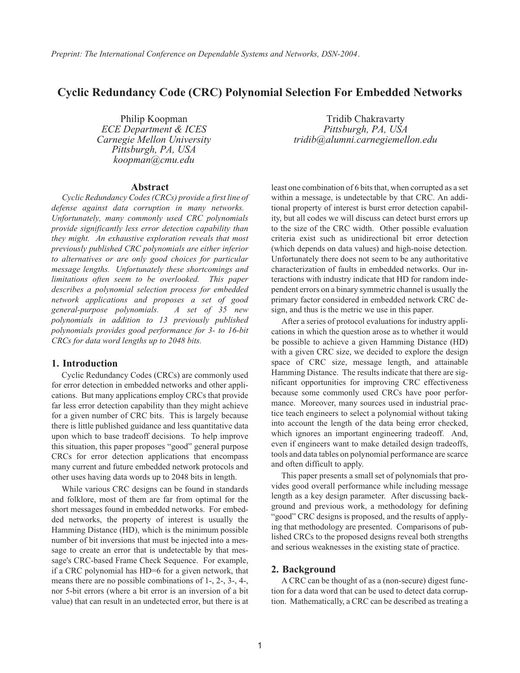### **Cyclic Redundancy Code (CRC) Polynomial Selection For Embedded Networks**

Philip Koopman *ECE Department & ICES Carnegie Mellon University Pittsburgh, PA, USA koopman@cmu.edu*

#### **Abstract**

*Cyclic Redundancy Codes (CRCs) provide a first line of defense against data corruption in many networks. Unfortunately, many commonly used CRC polynomials provide significantly less error detection capability than they might. An exhaustive exploration reveals that most previously published CRC polynomials are either inferior to alternatives or are only good choices for particular message lengths. Unfortunately these shortcomings and limitations often seem to be overlooked. This paper describes a polynomial selection process for embedded network applications and proposes a set of good general-purpose polynomials. A set of 35 new polynomials in addition to 13 previously published polynomials provides good performance for 3- to 16-bit CRCs for data word lengths up to 2048 bits.*

#### **1. Introduction**

Cyclic Redundancy Codes (CRCs) are commonly used for error detection in embedded networks and other applications. But many applications employ CRCs that provide far less error detection capability than they might achieve for a given number of CRC bits. This is largely because there is little published guidance and less quantitative data upon which to base tradeoff decisions. To help improve this situation, this paper proposes "good" general purpose CRCs for error detection applications that encompass many current and future embedded network protocols and other uses having data words up to 2048 bits in length.

While various CRC designs can be found in standards and folklore, most of them are far from optimal for the short messages found in embedded networks. For embedded networks, the property of interest is usually the Hamming Distance (HD), which is the minimum possible number of bit inversions that must be injected into a message to create an error that is undetectable by that message's CRC-based Frame Check Sequence. For example, if a CRC polynomial has HD=6 for a given network, that means there are no possible combinations of 1-, 2-, 3-, 4-, nor 5-bit errors (where a bit error is an inversion of a bit value) that can result in an undetected error, but there is at

Tridib Chakravarty *Pittsburgh, PA, USA tridib@alumni.carnegiemellon.edu*

least one combination of 6 bits that, when corrupted as a set within a message, is undetectable by that CRC. An additional property of interest is burst error detection capability, but all codes we will discuss can detect burst errors up to the size of the CRC width. Other possible evaluation criteria exist such as unidirectional bit error detection (which depends on data values) and high-noise detection. Unfortunately there does not seem to be any authoritative characterization of faults in embedded networks. Our interactions with industry indicate that HD for random independent errors on a binary symmetric channel is usually the primary factor considered in embedded network CRC design, and thus is the metric we use in this paper.

After a series of protocol evaluations for industry applications in which the question arose as to whether it would be possible to achieve a given Hamming Distance (HD) with a given CRC size, we decided to explore the design space of CRC size, message length, and attainable Hamming Distance. The results indicate that there are significant opportunities for improving CRC effectiveness because some commonly used CRCs have poor performance. Moreover, many sources used in industrial practice teach engineers to select a polynomial without taking into account the length of the data being error checked, which ignores an important engineering tradeoff. And, even if engineers want to make detailed design tradeoffs, tools and data tables on polynomial performance are scarce and often difficult to apply.

This paper presents a small set of polynomials that provides good overall performance while including message length as a key design parameter. After discussing background and previous work, a methodology for defining "good" CRC designs is proposed, and the results of applying that methodology are presented. Comparisons of published CRCs to the proposed designs reveal both strengths and serious weaknesses in the existing state of practice.

#### **2. Background**

A CRC can be thought of as a (non-secure) digest function for a data word that can be used to detect data corruption. Mathematically, a CRC can be described as treating a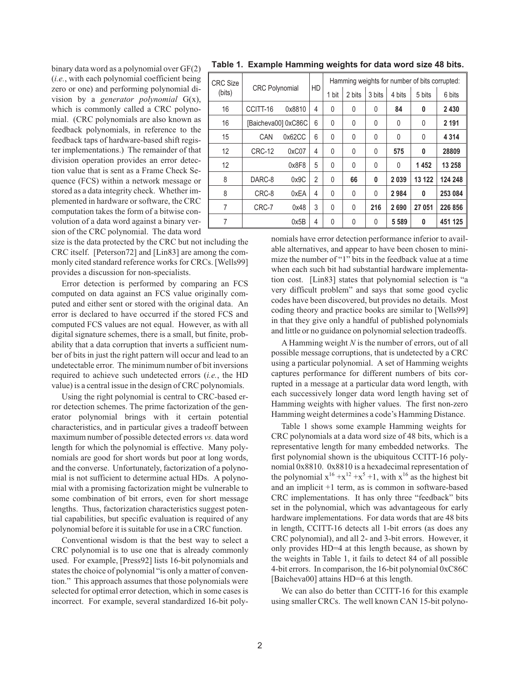binary data word as a polynomial over GF(2) (*i.e.*, with each polynomial coefficient being zero or one) and performing polynomial division by a *generator polynomial* G(x), which is commonly called a CRC polynomial. (CRC polynomials are also known as feedback polynomials, in reference to the feedback taps of hardware-based shift register implementations.) The remainder of that division operation provides an error detection value that is sent as a Frame Check Sequence (FCS) within a network message or stored as a data integrity check. Whether implemented in hardware or software, the CRC computation takes the form of a bitwise convolution of a data word against a binary version of the CRC polynomial. The data word

size is the data protected by the CRC but not including the CRC itself. [Peterson72] and [Lin83] are among the commonly cited standard reference works for CRCs. [Wells99] provides a discussion for non-specialists.

Error detection is performed by comparing an FCS computed on data against an FCS value originally computed and either sent or stored with the original data. An error is declared to have occurred if the stored FCS and computed FCS values are not equal. However, as with all digital signature schemes, there is a small, but finite, probability that a data corruption that inverts a sufficient number of bits in just the right pattern will occur and lead to an undetectable error. The minimum number of bit inversions required to achieve such undetected errors (*i.e.*, the HD value) is a central issue in the design of CRC polynomials.

Using the right polynomial is central to CRC-based error detection schemes. The prime factorization of the generator polynomial brings with it certain potential characteristics, and in particular gives a tradeoff between maximum number of possible detected errors *vs.* data word length for which the polynomial is effective. Many polynomials are good for short words but poor at long words, and the converse. Unfortunately, factorization of a polynomial is not sufficient to determine actual HDs. A polynomial with a promising factorization might be vulnerable to some combination of bit errors, even for short message lengths. Thus, factorization characteristics suggest potential capabilities, but specific evaluation is required of any polynomial before it is suitable for use in a CRC function.

Conventional wisdom is that the best way to select a CRC polynomial is to use one that is already commonly used. For example, [Press92] lists 16-bit polynomials and states the choice of polynomial "is only a matter of convention." This approach assumes that those polynomials were selected for optimal error detection, which in some cases is incorrect. For example, several standardized 16-bit poly-

**Table 1. Example Hamming weights for data word size 48 bits.**

| <b>CRC Size</b> | <b>CRC Polynomial</b> |        |       | Hamming weights for number of bits corrupted: |        |        |          |        |         |  |  |
|-----------------|-----------------------|--------|-------|-----------------------------------------------|--------|--------|----------|--------|---------|--|--|
| (bits)          |                       | HD     | 1 bit | 2 bits                                        | 3 bits | 4 bits | 5 bits   | 6 bits |         |  |  |
| 16              | CCITT-16              | 0x8810 | 4     | $\Omega$                                      | 0      | 0      | 84       | 0      | 2 4 3 0 |  |  |
| 16              | [Baicheva00] 0xC86C   |        | 6     | $\mathbf{0}$                                  | 0      | 0      | $\Omega$ | 0      | 2 1 9 1 |  |  |
| 15              | CAN                   | 0x62CC | 6     | 0                                             | 0      | 0      | $\Omega$ | 0      | 4 3 1 4 |  |  |
| 12              | <b>CRC-12</b>         | 0xC07  | 4     | $\Omega$                                      | 0      | 0      | 575      | 0      | 28809   |  |  |
| 12              |                       | 0x8F8  | 5     | $\Omega$                                      | 0      | 0      | $\Omega$ | 1452   | 13 258  |  |  |
| 8               | DARC-8                | 0x9C   | 2     | 0                                             | 66     | 0      | 2039     | 13 122 | 124 248 |  |  |
| 8               | CRC-8                 | 0xEA   | 4     | $\Omega$                                      | 0      | 0      | 2984     | 0      | 253 084 |  |  |
| 7               | CRC-7                 | 0x48   | 3     | $\Omega$                                      | 0      | 216    | 2690     | 27 051 | 226 856 |  |  |
| 7               |                       | 0x5B   | 4     | 0                                             | 0      | 0      | 5 5 8 9  | 0      | 451 125 |  |  |

nomials have error detection performance inferior to available alternatives, and appear to have been chosen to minimize the number of "1" bits in the feedback value at a time when each such bit had substantial hardware implementation cost. [Lin83] states that polynomial selection is "a very difficult problem" and says that some good cyclic codes have been discovered, but provides no details. Most coding theory and practice books are similar to [Wells99] in that they give only a handful of published polynomials and little or no guidance on polynomial selection tradeoffs.

A Hamming weight *N* is the number of errors, out of all possible message corruptions, that is undetected by a CRC using a particular polynomial. A set of Hamming weights captures performance for different numbers of bits corrupted in a message at a particular data word length, with each successively longer data word length having set of Hamming weights with higher values. The first non-zero Hamming weight determines a code's Hamming Distance.

Table 1 shows some example Hamming weights for CRC polynomials at a data word size of 48 bits, which is a representative length for many embedded networks. The first polynomial shown is the ubiquitous CCITT-16 polynomial 0x8810. 0x8810 is a hexadecimal representation of the polynomial  $x^{16} + x^{12} + x^5 + 1$ , with  $x^{16}$  as the highest bit and an implicit +1 term, as is common in software-based CRC implementations. It has only three "feedback" bits set in the polynomial, which was advantageous for early hardware implementations. For data words that are 48 bits in length, CCITT-16 detects all 1-bit errors (as does any CRC polynomial), and all 2- and 3-bit errors. However, it only provides HD=4 at this length because, as shown by the weights in Table 1, it fails to detect 84 of all possible 4-bit errors. In comparison, the 16-bit polynomial 0xC86C [Baicheva00] attains HD=6 at this length.

We can also do better than CCITT-16 for this example using smaller CRCs. The well known CAN 15-bit polyno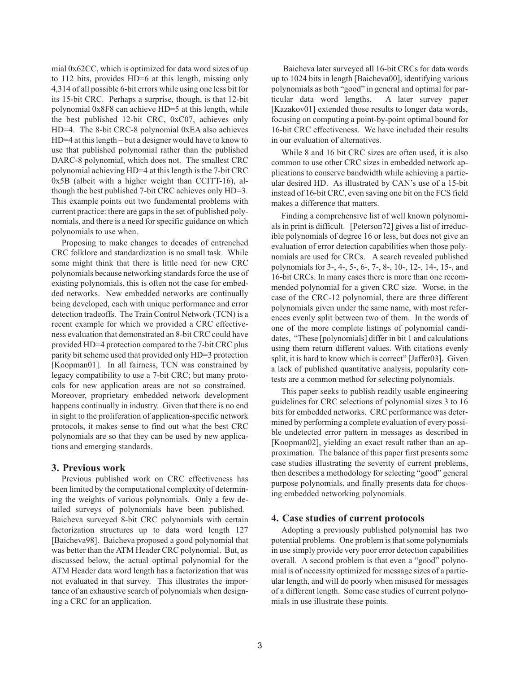mial 0x62CC, which is optimized for data word sizes of up to 112 bits, provides HD=6 at this length, missing only 4,314 of all possible 6-bit errors while using one less bit for its 15-bit CRC. Perhaps a surprise, though, is that 12-bit polynomial 0x8F8 can achieve HD=5 at this length, while the best published 12-bit CRC, 0xC07, achieves only HD=4. The 8-bit CRC-8 polynomial 0xEA also achieves HD=4 at this length – but a designer would have to know to use that published polynomial rather than the published DARC-8 polynomial, which does not. The smallest CRC polynomial achieving HD=4 at this length is the 7-bit CRC 0x5B (albeit with a higher weight than CCITT-16), although the best published 7-bit CRC achieves only HD=3. This example points out two fundamental problems with current practice: there are gaps in the set of published polynomials, and there is a need for specific guidance on which polynomials to use when.

Proposing to make changes to decades of entrenched CRC folklore and standardization is no small task. While some might think that there is little need for new CRC polynomials because networking standards force the use of existing polynomials, this is often not the case for embedded networks. New embedded networks are continually being developed, each with unique performance and error detection tradeoffs. The Train Control Network (TCN) is a recent example for which we provided a CRC effectiveness evaluation that demonstrated an 8-bit CRC could have provided HD=4 protection compared to the 7-bit CRC plus parity bit scheme used that provided only HD=3 protection [Koopman01]. In all fairness, TCN was constrained by legacy compatibility to use a 7-bit CRC; but many protocols for new application areas are not so constrained. Moreover, proprietary embedded network development happens continually in industry. Given that there is no end in sight to the proliferation of application-specific network protocols, it makes sense to find out what the best CRC polynomials are so that they can be used by new applications and emerging standards.

#### **3. Previous work**

Previous published work on CRC effectiveness has been limited by the computational complexity of determining the weights of various polynomials. Only a few detailed surveys of polynomials have been published. Baicheva surveyed 8-bit CRC polynomials with certain factorization structures up to data word length 127 [Baicheva98]. Baicheva proposed a good polynomial that was better than the ATM Header CRC polynomial. But, as discussed below, the actual optimal polynomial for the ATM Header data word length has a factorization that was not evaluated in that survey. This illustrates the importance of an exhaustive search of polynomials when designing a CRC for an application.

Baicheva later surveyed all 16-bit CRCs for data words up to 1024 bits in length [Baicheva00], identifying various polynomials as both "good" in general and optimal for particular data word lengths. A later survey paper [Kazakov01] extended those results to longer data words, focusing on computing a point-by-point optimal bound for 16-bit CRC effectiveness. We have included their results in our evaluation of alternatives.

While 8 and 16 bit CRC sizes are often used, it is also common to use other CRC sizes in embedded network applications to conserve bandwidth while achieving a particular desired HD. As illustrated by CAN's use of a 15-bit instead of 16-bit CRC, even saving one bit on the FCS field makes a difference that matters.

Finding a comprehensive list of well known polynomials in print is difficult. [Peterson72] gives a list of irreducible polynomials of degree 16 or less, but does not give an evaluation of error detection capabilities when those polynomials are used for CRCs. A search revealed published polynomials for 3-, 4-, 5-, 6-, 7-, 8-, 10-, 12-, 14-, 15-, and 16-bit CRCs. In many cases there is more than one recommended polynomial for a given CRC size. Worse, in the case of the CRC-12 polynomial, there are three different polynomials given under the same name, with most references evenly split between two of them. In the words of one of the more complete listings of polynomial candidates, "These [polynomials] differ in bit 1 and calculations using them return different values. With citations evenly split, it is hard to know which is correct" [Jaffer03]. Given a lack of published quantitative analysis, popularity contests are a common method for selecting polynomials.

This paper seeks to publish readily usable engineering guidelines for CRC selections of polynomial sizes 3 to 16 bits for embedded networks. CRC performance was determined by performing a complete evaluation of every possible undetected error pattern in messages as described in [Koopman02], yielding an exact result rather than an approximation. The balance of this paper first presents some case studies illustrating the severity of current problems, then describes a methodology for selecting "good" general purpose polynomials, and finally presents data for choosing embedded networking polynomials.

#### **4. Case studies of current protocols**

Adopting a previously published polynomial has two potential problems. One problem is that some polynomials in use simply provide very poor error detection capabilities overall. A second problem is that even a "good" polynomial is of necessity optimized for message sizes of a particular length, and will do poorly when misused for messages of a different length. Some case studies of current polynomials in use illustrate these points.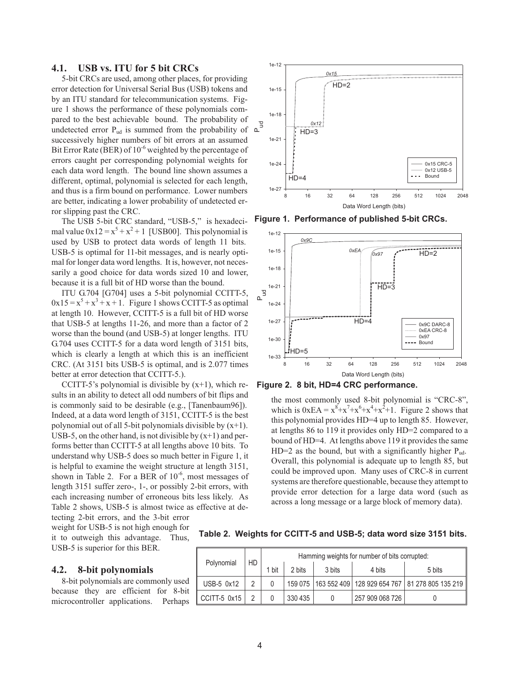#### **4.1. USB vs. ITU for 5 bit CRCs**

5-bit CRCs are used, among other places, for providing error detection for Universal Serial Bus (USB) tokens and by an ITU standard for telecommunication systems. Figure 1 shows the performance of these polynomials compared to the best achievable bound. The probability of undetected error  $P_{ud}$  is summed from the probability of  $\alpha^2$ successively higher numbers of bit errors at an assumed Bit Error Rate (BER) of  $10^{-6}$  weighted by the percentage of errors caught per corresponding polynomial weights for each data word length. The bound line shown assumes a different, optimal, polynomial is selected for each length, and thus is a firm bound on performance. Lower numbers are better, indicating a lower probability of undetected error slipping past the CRC.

The USB 5-bit CRC standard, "USB-5," is hexadecimal value  $0x12 = x^5 + x^2 + 1$  [USB00]. This polynomial is used by USB to protect data words of length 11 bits. USB-5 is optimal for 11-bit messages, and is nearly optimal for longer data word lengths. It is, however, not necessarily a good choice for data words sized 10 and lower, because it is a full bit of HD worse than the bound.

ITU G.704 [G704] uses a 5-bit polynomial CCITT-5,  $0x15 = x<sup>5</sup> + x<sup>3</sup> + x + 1$ . Figure 1 shows CCITT-5 as optimal at length 10. However, CCITT-5 is a full bit of HD worse that USB-5 at lengths 11-26, and more than a factor of 2 worse than the bound (and USB-5) at longer lengths. ITU G.704 uses CCITT-5 for a data word length of 3151 bits, which is clearly a length at which this is an inefficient CRC. (At 3151 bits USB-5 is optimal, and is 2.077 times better at error detection that CCITT-5.).

CCITT-5's polynomial is divisible by  $(x+1)$ , which results in an ability to detect all odd numbers of bit flips and is commonly said to be desirable (e.g., [Tanenbaum96]). Indeed, at a data word length of 3151, CCITT-5 is the best polynomial out of all 5-bit polynomials divisible by  $(x+1)$ . USB-5, on the other hand, is not divisible by  $(x+1)$  and performs better than CCITT-5 at all lengths above 10 bits. To understand why USB-5 does so much better in Figure 1, it is helpful to examine the weight structure at length 3151, shown in Table 2. For a BER of  $10^{-6}$ , most messages of length 3151 suffer zero-, 1-, or possibly 2-bit errors, with each increasing number of erroneous bits less likely. As Table 2 shows, USB-5 is almost twice as effective at de-

tecting 2-bit errors, and the 3-bit error weight for USB-5 is not high enough for it to outweigh this advantage. Thus, USB-5 is superior for this BER.

#### **4.2. 8-bit polynomials**

8-bit polynomials are commonly used because they are efficient for 8-bit microcontroller applications. Perhaps



**Figure 1. Performance of published 5-bit CRCs.**



**Figure 2. 8 bit, HD=4 CRC performance.**

the most commonly used 8-bit polynomial is "CRC-8", which is  $0xEA = x^8 + x^7 + x^6 + x^4 + x^2 + 1$ . Figure 2 shows that this polynomial provides HD=4 up to length 85. However, at lengths 86 to 119 it provides only HD=2 compared to a bound of HD=4. At lengths above 119 it provides the same HD=2 as the bound, but with a significantly higher  $P_{ud}$ . Overall, this polynomial is adequate up to length 85, but could be improved upon. Many uses of CRC-8 in current systems are therefore questionable, because they attempt to provide error detection for a large data word (such as across a long message or a large block of memory data).

**Table 2. Weights for CCITT-5 and USB-5; data word size 3151 bits.**

|              | HD | Hamming weights for number of bits corrupted: |         |        |                 |                                                              |  |  |
|--------------|----|-----------------------------------------------|---------|--------|-----------------|--------------------------------------------------------------|--|--|
| Polynomial   |    | 1 bit                                         | 2 bits  | 3 bits | 4 bits          | 5 bits                                                       |  |  |
| USB-5 0x12   | 2  |                                               |         |        |                 | 159 075   163 552 409   128 929 654 767   81 278 805 135 219 |  |  |
| CCITT-5 0x15 |    |                                               | 330 435 |        | 257 909 068 726 |                                                              |  |  |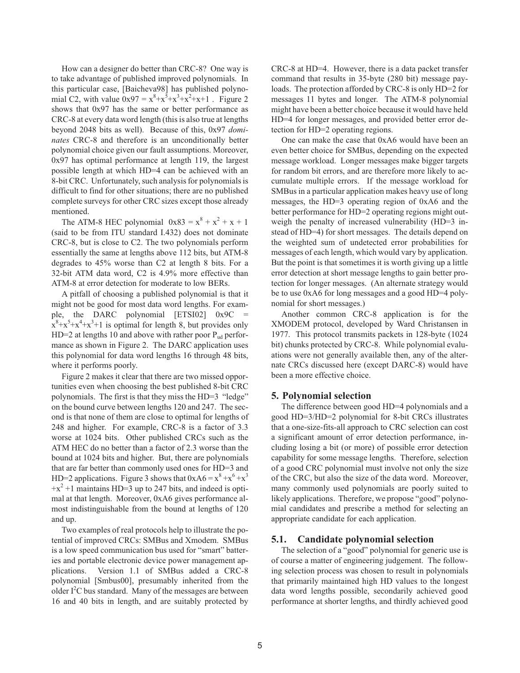How can a designer do better than CRC-8? One way is to take advantage of published improved polynomials. In this particular case, [Baicheva98] has published polynomial C2, with value  $0x97 = x^8 + x^5 + x^3 + x^2 + x + 1$ . Figure 2 shows that 0x97 has the same or better performance as CRC-8 at every data word length (this is also true at lengths beyond 2048 bits as well). Because of this, 0x97 *dominates* CRC-8 and therefore is an unconditionally better polynomial choice given our fault assumptions. Moreover, 0x97 has optimal performance at length 119, the largest possible length at which HD=4 can be achieved with an 8-bit CRC. Unfortunately, such analysis for polynomials is difficult to find for other situations; there are no published complete surveys for other CRC sizes except those already mentioned.

The ATM-8 HEC polynomial  $0x83 = x^8 + x^2 + x + 1$ (said to be from ITU standard I.432) does not dominate CRC-8, but is close to C2. The two polynomials perform essentially the same at lengths above 112 bits, but ATM-8 degrades to 45% worse than C2 at length 8 bits. For a 32-bit ATM data word, C2 is 4.9% more effective than ATM-8 at error detection for moderate to low BERs.

A pitfall of choosing a published polynomial is that it might not be good for most data word lengths. For example, the DARC polynomial [ETSI02] 0x9C =  $x^{8}+x^{5}+x^{4}+x^{3}+1$  is optimal for length 8, but provides only  $HD=2$  at lengths 10 and above with rather poor  $P_{ud}$  performance as shown in Figure 2. The DARC application uses this polynomial for data word lengths 16 through 48 bits, where it performs poorly.

Figure 2 makes it clear that there are two missed opportunities even when choosing the best published 8-bit CRC polynomials. The first is that they miss the HD=3 "ledge" on the bound curve between lengths 120 and 247. The second is that none of them are close to optimal for lengths of 248 and higher. For example, CRC-8 is a factor of 3.3 worse at 1024 bits. Other published CRCs such as the ATM HEC do no better than a factor of 2.3 worse than the bound at 1024 bits and higher. But, there are polynomials that are far better than commonly used ones for HD=3 and HD=2 applications. Figure 3 shows that  $0xA6 = x^8 + x^6 + x^3$  $+x^2 +1$  maintains HD=3 up to 247 bits, and indeed is optimal at that length. Moreover, 0xA6 gives performance almost indistinguishable from the bound at lengths of 120 and up.

Two examples of real protocols help to illustrate the potential of improved CRCs: SMBus and Xmodem. SMBus is a low speed communication bus used for "smart" batteries and portable electronic device power management applications. Version 1.1 of SMBus added a CRC-8 polynomial [Smbus00], presumably inherited from the older  $I<sup>2</sup>C$  bus standard. Many of the messages are between 16 and 40 bits in length, and are suitably protected by

CRC-8 at HD=4. However, there is a data packet transfer command that results in 35-byte (280 bit) message payloads. The protection afforded by CRC-8 is only HD=2 for messages 11 bytes and longer. The ATM-8 polynomial might have been a better choice because it would have held HD=4 for longer messages, and provided better error detection for HD=2 operating regions.

One can make the case that 0xA6 would have been an even better choice for SMBus, depending on the expected message workload. Longer messages make bigger targets for random bit errors, and are therefore more likely to accumulate multiple errors. If the message workload for SMBus in a particular application makes heavy use of long messages, the HD=3 operating region of 0xA6 and the better performance for HD=2 operating regions might outweigh the penalty of increased vulnerability (HD=3 instead of HD=4) for short messages. The details depend on the weighted sum of undetected error probabilities for messages of each length, which would vary by application. But the point is that sometimes it is worth giving up a little error detection at short message lengths to gain better protection for longer messages. (An alternate strategy would be to use 0xA6 for long messages and a good HD=4 polynomial for short messages.)

Another common CRC-8 application is for the XMODEM protocol, developed by Ward Christansen in 1977. This protocol transmits packets in 128-byte (1024 bit) chunks protected by CRC-8. While polynomial evaluations were not generally available then, any of the alternate CRCs discussed here (except DARC-8) would have been a more effective choice.

#### **5. Polynomial selection**

The difference between good HD=4 polynomials and a good HD=3/HD=2 polynomial for 8-bit CRCs illustrates that a one-size-fits-all approach to CRC selection can cost a significant amount of error detection performance, including losing a bit (or more) of possible error detection capability for some message lengths. Therefore, selection of a good CRC polynomial must involve not only the size of the CRC, but also the size of the data word. Moreover, many commonly used polynomials are poorly suited to likely applications. Therefore, we propose "good" polynomial candidates and prescribe a method for selecting an appropriate candidate for each application.

#### **5.1. Candidate polynomial selection**

The selection of a "good" polynomial for generic use is of course a matter of engineering judgement. The following selection process was chosen to result in polynomials that primarily maintained high HD values to the longest data word lengths possible, secondarily achieved good performance at shorter lengths, and thirdly achieved good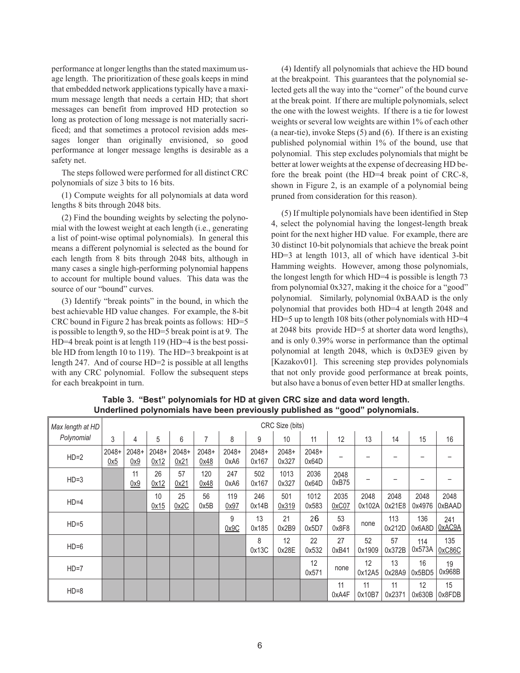performance at longer lengths than the stated maximum usage length. The prioritization of these goals keeps in mind that embedded network applications typically have a maximum message length that needs a certain HD; that short messages can benefit from improved HD protection so long as protection of long message is not materially sacrificed; and that sometimes a protocol revision adds messages longer than originally envisioned, so good performance at longer message lengths is desirable as a safety net.

The steps followed were performed for all distinct CRC polynomials of size 3 bits to 16 bits.

(1) Compute weights for all polynomials at data word lengths 8 bits through 2048 bits.

(2) Find the bounding weights by selecting the polynomial with the lowest weight at each length (i.e., generating a list of point-wise optimal polynomials). In general this means a different polynomial is selected as the bound for each length from 8 bits through 2048 bits, although in many cases a single high-performing polynomial happens to account for multiple bound values. This data was the source of our "bound" curves.

(3) Identify "break points" in the bound, in which the best achievable HD value changes. For example, the 8-bit CRC bound in Figure 2 has break points as follows: HD=5 is possible to length 9, so the HD=5 break point is at 9. The HD=4 break point is at length 119 (HD=4 is the best possible HD from length 10 to 119). The HD=3 breakpoint is at length 247. And of course HD=2 is possible at all lengths with any CRC polynomial. Follow the subsequent steps for each breakpoint in turn.

(4) Identify all polynomials that achieve the HD bound at the breakpoint. This guarantees that the polynomial selected gets all the way into the "corner" of the bound curve at the break point. If there are multiple polynomials, select the one with the lowest weights. If there is a tie for lowest weights or several low weights are within 1% of each other (a near-tie), invoke Steps (5) and (6). If there is an existing published polynomial within 1% of the bound, use that polynomial. This step excludes polynomials that might be better at lower weights at the expense of decreasing HD before the break point (the HD=4 break point of CRC-8, shown in Figure 2, is an example of a polynomial being pruned from consideration for this reason).

(5) If multiple polynomials have been identified in Step 4, select the polynomial having the longest-length break point for the next higher HD value. For example, there are 30 distinct 10-bit polynomials that achieve the break point HD=3 at length 1013, all of which have identical 3-bit Hamming weights. However, among those polynomials, the longest length for which HD=4 is possible is length 73 from polynomial 0x327, making it the choice for a "good" polynomial. Similarly, polynomial 0xBAAD is the only polynomial that provides both HD=4 at length 2048 and HD=5 up to length 108 bits (other polynomials with HD=4 at 2048 bits provide HD=5 at shorter data word lengths), and is only 0.39% worse in performance than the optimal polynomial at length 2048, which is 0xD3E9 given by [Kazakov01]. This screening step provides polynomials that not only provide good performance at break points, but also have a bonus of even better HD at smaller lengths.

| Max length at HD | CRC Size (bits) |              |                 |                 |                 |                 |                  |                  |                |               |                |                |                |                |
|------------------|-----------------|--------------|-----------------|-----------------|-----------------|-----------------|------------------|------------------|----------------|---------------|----------------|----------------|----------------|----------------|
| Polynomial       | 3               | 4            | 5               | 6               | 7               | 8               | 9                | 10               | 11             | 12            | 13             | 14             | 15             | 16             |
| $HD=2$           | $2048+$<br>0x5  | 2048+<br>0x9 | $2048+$<br>0x12 | $2048+$<br>0x21 | $2048+$<br>0x48 | $2048+$<br>0xA6 | $2048+$<br>0x167 | $2048+$<br>0x327 | 2048+<br>0x64D |               |                |                |                |                |
| $HD=3$           |                 | 11<br>0x9    | 26<br>0x12      | 57<br>0x21      | 120<br>0x48     | 247<br>0xA6     | 502<br>0x167     | 1013<br>0x327    | 2036<br>0x64D  | 2048<br>0xB75 |                |                |                |                |
| $HD=4$           |                 |              | 10<br>0x15      | 25<br>0x2C      | 56<br>0x5B      | 119<br>0x97     | 246<br>0x14B     | 501<br>0x319     | 1012<br>0x583  | 2035<br>0xC07 | 2048<br>0x102A | 2048<br>0x21E8 | 2048<br>0x4976 | 2048<br>0xBAAD |
| $HD=5$           |                 |              |                 |                 |                 | 9<br>0x9C       | 13<br>0x185      | 21<br>0x2B9      | 26<br>0x5D7    | 53<br>0x8F8   | none           | 113<br>0x212D  | 136<br>0x6A8D  | 241<br>0xAC9A  |
| $HD=6$           |                 |              |                 |                 |                 |                 | 8<br>0x13C       | 12<br>0x28E      | 22<br>0x532    | 27<br>0xB41   | 52<br>0x1909   | 57<br>0x372B   | 114<br>0x573A  | 135<br>0xC86C  |
| $HD=7$           |                 |              |                 |                 |                 |                 |                  |                  | 12<br>0x571    | none          | 12<br>0x12A5   | 13<br>0x28A9   | 16<br>0x5BD5   | 19<br>0x968B   |
| $HD=8$           |                 |              |                 |                 |                 |                 |                  |                  |                | 11<br>0xA4F   | 11<br>0x10B7   | 11<br>0x2371   | 12<br>0x630B   | 15<br>0x8FDB   |

**Table 3. "Best" polynomials for HD at given CRC size and data word length. Underlined polynomials have been previously published as "good" polynomials.**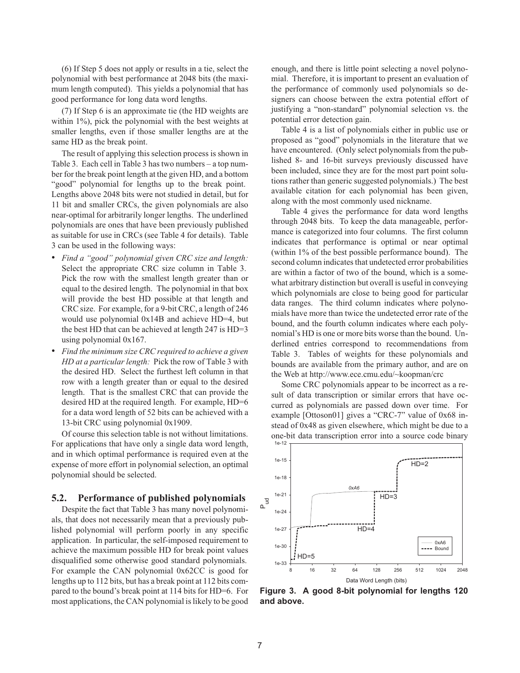(6) If Step 5 does not apply or results in a tie, select the polynomial with best performance at 2048 bits (the maximum length computed). This yields a polynomial that has good performance for long data word lengths.

(7) If Step 6 is an approximate tie (the HD weights are within 1%), pick the polynomial with the best weights at smaller lengths, even if those smaller lengths are at the same HD as the break point.

The result of applying this selection process is shown in Table 3. Each cell in Table 3 has two numbers – a top number for the break point length at the given HD, and a bottom "good" polynomial for lengths up to the break point. Lengths above 2048 bits were not studied in detail, but for 11 bit and smaller CRCs, the given polynomials are also near-optimal for arbitrarily longer lengths. The underlined polynomials are ones that have been previously published as suitable for use in CRCs (see Table 4 for details). Table 3 can be used in the following ways:

- *Find a "good" polynomial given CRC size and length:* Select the appropriate CRC size column in Table 3. Pick the row with the smallest length greater than or equal to the desired length. The polynomial in that box will provide the best HD possible at that length and CRC size. For example, for a 9-bit CRC, a length of 246 would use polynomial 0x14B and achieve HD=4, but the best HD that can be achieved at length 247 is HD=3 using polynomial 0x167.
- *Find the minimum size CRC required to achieve a given HD at a particular length:* Pick the row of Table 3 with the desired HD. Select the furthest left column in that row with a length greater than or equal to the desired length. That is the smallest CRC that can provide the desired HD at the required length. For example, HD=6 for a data word length of 52 bits can be achieved with a 13-bit CRC using polynomial 0x1909.

Of course this selection table is not without limitations. For applications that have only a single data word length, and in which optimal performance is required even at the expense of more effort in polynomial selection, an optimal polynomial should be selected.

#### **5.2. Performance of published polynomials**

Despite the fact that Table 3 has many novel polynomials, that does not necessarily mean that a previously published polynomial will perform poorly in any specific application. In particular, the self-imposed requirement to achieve the maximum possible HD for break point values disqualified some otherwise good standard polynomials. For example the CAN polynomial 0x62CC is good for lengths up to 112 bits, but has a break point at 112 bits compared to the bound's break point at 114 bits for HD=6. For most applications, the CAN polynomial is likely to be good enough, and there is little point selecting a novel polynomial. Therefore, it is important to present an evaluation of the performance of commonly used polynomials so designers can choose between the extra potential effort of justifying a "non-standard" polynomial selection vs. the potential error detection gain.

Table 4 is a list of polynomials either in public use or proposed as "good" polynomials in the literature that we have encountered. (Only select polynomials from the published 8- and 16-bit surveys previously discussed have been included, since they are for the most part point solutions rather than generic suggested polynomials.) The best available citation for each polynomial has been given, along with the most commonly used nickname.

Table 4 gives the performance for data word lengths through 2048 bits. To keep the data manageable, performance is categorized into four columns. The first column indicates that performance is optimal or near optimal (within 1% of the best possible performance bound). The second column indicates that undetected error probabilities are within a factor of two of the bound, which is a somewhat arbitrary distinction but overall is useful in conveying which polynomials are close to being good for particular data ranges. The third column indicates where polynomials have more than twice the undetected error rate of the bound, and the fourth column indicates where each polynomial's HD is one or more bits worse than the bound. Underlined entries correspond to recommendations from Table 3. Tables of weights for these polynomials and bounds are available from the primary author, and are on the Web at http://www.ece.cmu.edu/~koopman/crc

Some CRC polynomials appear to be incorrect as a result of data transcription or similar errors that have occurred as polynomials are passed down over time. For example [Ottoson01] gives a "CRC-7" value of 0x68 instead of 0x48 as given elsewhere, which might be due to a one-bit data transcription error into a source code binary



**Figure 3. A good 8-bit polynomial for lengths 120 and above.**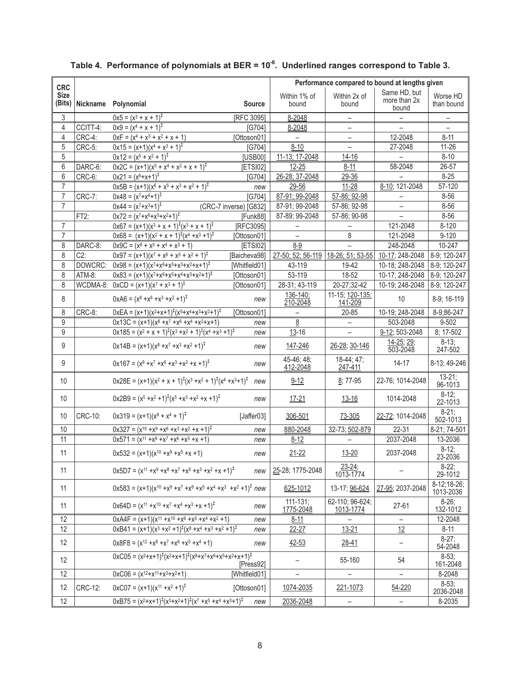| <b>CRC</b>            |               |                                                                                                        |                        | Performance compared to bound at lengths given |                                |                                       |                          |  |
|-----------------------|---------------|--------------------------------------------------------------------------------------------------------|------------------------|------------------------------------------------|--------------------------------|---------------------------------------|--------------------------|--|
| <b>Size</b><br>(Bits) | Nickname      | Polynomial                                                                                             | Source                 | Within 1% of<br>bound                          | Within 2x of<br>bound          | Same HD, but<br>more than 2x<br>bound | Worse HD<br>than bound   |  |
| 3                     |               | $0x5 = (x^3 + x + 1)^{\ddagger}$                                                                       | [RFC 3095]             | 8-2048                                         |                                |                                       | $\qquad \qquad -$        |  |
| 4                     | CCITT-4:      | $0x9 = (x^4 + x + 1)^{\ddagger}$                                                                       | $[G704]$               | 8-2048                                         | $\qquad \qquad -$              |                                       | $\qquad \qquad -$        |  |
| $\overline{4}$        | CRC-4:        | $0xF = (x4 + x3 + x2 + x + 1)$                                                                         | [Ottoson01]            |                                                | $\equiv$                       | 12-2048                               | $8 - 11$                 |  |
| 5                     | <b>CRC-5:</b> | $0x15 = (x+1)(x^4 + x^3 + 1)^{\ddagger}$                                                               | [G704]                 | $8 - 10$                                       |                                | 27-2048                               | $11 - 26$                |  |
| 5                     |               | $0x12 = (x^5 + x^2 + 1)^{\ddagger}$                                                                    | [USB00]                | 11-13; 17-2048                                 | 14-16                          |                                       | $8 - 10$                 |  |
| 6                     | DARC-6:       | $0x2C = (x+1)(x^5 + x^4 + x^2 + x + 1)^{\ddagger}$                                                     | [ETSI02]               | $12 - 25$                                      | $8 - 11$                       | 58-2048                               | 26-57                    |  |
| 6                     | CRC-6:        | $0x21 = (x^6+x+1)^{\ddagger}$                                                                          | [G704]                 | 26-28; 37-2048                                 | 29-36                          |                                       | $8 - 25$                 |  |
| 7                     |               | $0x5B = (x+1)(x^6 + x^5 + x^3 + x^2 + 1)^{\ddagger}$                                                   | new                    | 29-56                                          | $11 - 28$                      | 8-10; 121-2048                        | 57-120                   |  |
| $\overline{7}$        | <b>CRC-7:</b> | $0x48 = (x^7 + x^4 + 1)^{\ddagger}$                                                                    | $[G704]$               | 87-91; 99-2048                                 | 57-86; 92-98                   |                                       | 8-56                     |  |
| $\overline{7}$        |               | $0x44 = (x^7 + x^3 + 1)^{\ddagger}$                                                                    | (CRC-7 inverse) [G832] | 87-91; 99-2048                                 | 57-86; 92-98                   |                                       | 8-56                     |  |
|                       | FT2:          | $0x72 = (x^7 + x^6 + x^5 + x^2 + 1)^{\ddagger}$                                                        | [Funk88]               | 87-89; 99-2048                                 | 57-86; 90-98                   |                                       | 8-56                     |  |
| 7                     |               | $0x67 = (x+1)(x^3 + x + 1)^{\frac{1}{3}}(x^3 + x + 1)^{\frac{1}{3}}$                                   | [RFC3095]              |                                                |                                | 121-2048                              | 8-120                    |  |
| $\overline{7}$        |               | $0x68 = (x+1)(x^2 + x + 1)^{\frac{1}{4}}(x^4 + x^3 + 1)^{\frac{1}{4}}$                                 | [Ottoson01]            | $\equiv$                                       | 8                              | 121-2048                              | $9 - 120$                |  |
| 8                     | DARC-8:       | $0x9C = (x^8 + x^5 + x^4 + x^3 + 1)$                                                                   | [ETSI02]               | $8 - 9$                                        | $\overline{a}$                 | 248-2048                              | 10-247                   |  |
| 8                     | $C2$ :        | $0x97 = (x+1)(x^7 + x^6 + x^5 + x^2 + 1)^{\ddagger}$                                                   | [Baicheva98]           | 27-50; 52; 56-119                              | 18-26; 51; 53-55               | 10-17; 248-2048                       | 8-9; 120-247             |  |
| 8                     | DOWCRC:       | $0x98 = (x+1)(x^7+x^6+x^5+x^3+x^2+x+1)^{\ddagger}$                                                     | [Whitfield01]          | 43-119                                         | 19-42                          | 10-18; 248-2048                       | 8-9; 120-247             |  |
| 8                     | ATM-8:        | $0x83 = (x+1)(x^7+x^6+x^5+x^4+x^3+x^2+1)^{\ddagger}$                                                   | [Ottoson01]            | 53-119                                         | 18-52                          | 10-17; 248-2048                       | 8-9; 120-247             |  |
| 8                     | WCDMA-8:      | $0xCD = (x+1)(x^7 + x^3 + 1)^{\ddagger}$                                                               | [Ottoson01]            | 28-31; 43-119                                  | 20-27;32-42                    | 10-19; 248-2048                       | 8-9; 120-247             |  |
| 8                     |               | $0xA6 = (x^8 + x^6 + x^3 + x^2 + 1)^{\ddagger}$                                                        | new                    | 136-140;<br>210-2048                           | 11-15; 120-135;<br>$141 - 209$ | 10                                    | 8-9; 16-119              |  |
| 8                     | CRC-8:        | $0xEA = (x+1)(x^2+x+1)^{\frac{1}{4}}(x^5+x^4+x^3+x^2+1)^{\frac{1}{4}}$                                 | [Ottoson01]            | $\equiv$                                       | 20-85                          | 10-19; 248-2048                       | 8-9;86-247               |  |
| 9                     |               | $0x13C = (x+1)(x^8 + x^7 + x^6 + x^4 + x^2 + x + 1)$                                                   | new                    | 8                                              | $\overline{\phantom{0}}$       | 503-2048                              | $9 - 502$                |  |
| 9                     |               | $0x185 = (x^2 + x + 1)^{\frac{1}{2}}(x^3 + x^2 + 1)^{\frac{1}{2}}(x^4 + x^3 + 1)^{\frac{1}{2}}$        | new                    | $13 - 16$                                      | $\equiv$                       | 9-12; 503-2048                        | 8; 17-502                |  |
| 9                     |               | $0x14B = (x+1)(x^8 + x^7 + x^3 + x^2 + 1)^{\ddagger}$                                                  | new                    | 147-246                                        | 26-28; 30-146                  | 14-25; 29;<br>$503 - 2048$            | $8-13;$<br>247-502       |  |
| 9                     |               | $0x167 = (x^9 + x^7 + x^6 + x^3 + x^2 + x + 1)^{\ddagger}$                                             | new                    | 45-46; 48;<br>412-2048                         | 18-44; 47;<br>247-411          | $14 - 17$                             | 8-13; 49-246             |  |
| 10                    |               | $0x28E = (x+1)(x^2 + x + 1)^{\frac{1}{2}}(x^3 + x^2 + 1)^{\frac{1}{2}}(x^4 + x^3 + 1)^{\frac{1}{2}}$   | new                    | $9 - 12$                                       | 8; 77-95                       | 22-76; 1014-2048                      | $13 - 21$ ;<br>96-1013   |  |
| 10                    |               | $0x2B9 = (x^5 + x^2 + 1)^{\ddagger}(x^5 + x^3 + x^2 + x + 1)^{\ddagger}$                               | new                    | $17 - 21$                                      | $13 - 16$                      | 1014-2048                             | $8-12;$<br>22-1013       |  |
| 10                    | CRC-10:       | $0x319 = (x+1)(x^9 + x^4 + 1)^{\ddagger}$                                                              | [Jaffer03]             | 306-501                                        | 73-305                         | 22-72; 1014-2048                      | $8-21;$<br>502-1013      |  |
| 10                    |               | $0x327 = (x^{10} + x^9 + x^6 + x^3 + x^2 + x + 1)^{\frac{1}{4}}$                                       | new                    | 880-2048                                       | 32-73; 502-879                 | 22-31                                 | 8-21; 74-501             |  |
| 11                    |               | $0x571 = (x^{11} + x^9 + x^7 + x^6 + x^5 + x + 1)$                                                     | new                    | $8 - 12$                                       | $\equiv$                       | 2037-2048                             | 13-2036                  |  |
| 11                    |               | $0x532 = (x+1)(x^{10} + x^9 + x^5 + x + 1)$                                                            | new                    | $21 - 22$                                      | $13 - 20$                      | 2037-2048                             | $8-12;$<br>23-2036       |  |
| 11                    |               | $0x5D7 = (x^{11} + x^9 + x^8 + x^7 + x^5 + x^3 + x^2 + x + 1)^{\ddagger}$                              | new                    | 25-28; 1775-2048                               | $23 - 24$ ;<br>1013-1774       |                                       | $8-22;$<br>29-1012       |  |
| 11                    |               | $0x583 = (x+1)(x^{10} + x^9 + x^7 + x^6 + x^5 + x^4 + x^3 + x^2 + 1)^{\ddagger}$ new                   |                        | 625-1012                                       | 13-17; 96-624                  | 27-95; 2037-2048                      | 8-12;18-26;<br>1013-2036 |  |
| 11                    |               | $0x64D = (x^{11} + x^{10} + x^7 + x^4 + x^3 + x + 1)^{\ddagger}$                                       | new                    | $111 - 131$ ;<br>1775-2048                     | 62-110; 96-624;<br>1013-1774   | 27-61                                 | $8-26;$<br>132-1012      |  |
| 12                    |               | $0xA4F = (x+1)(x^{11} + x^{10} + x^6 + x^5 + x^4 + x^2 + 1)$                                           | new                    | $8 - 11$                                       |                                |                                       | 12-2048                  |  |
| 12                    |               | $0xB41 = (x+1)(x^3+x^2+1)^{\frac{1}{4}}(x^8+x^4+x^3+x^2+1)^{\frac{1}{4}}$                              | new                    | $22 - 27$                                      | $13 - 21$                      | 12                                    | $8 - 11$                 |  |
| 12                    |               | $0x8F8 = (x^{12} + x^8 + x^7 + x^6 + x^5 + x^4 + 1)$                                                   | new                    | $42 - 53$                                      | 28-41                          |                                       | $8-27;$<br>54-2048       |  |
| 12                    |               | $0 \times C05 = (x^2+x+1)^{\frac{1}{4}}(x^2+x+1)^{\frac{1}{4}}(x^8+x^7+x^6+x^5+x^2+x+1)^{\frac{1}{4}}$ | [Press92]              |                                                | 55-160                         | 54                                    | $8-53$ ;<br>161-2048     |  |
| 12                    |               | $0 \times C06 = (x^{12}+x^{11}+x^{3}+x^{2}+1)$                                                         | [Whitfield01]          |                                                |                                |                                       | 8-2048                   |  |
| 12                    | CRC-12:       | $0 \times C07 = (x+1)(x^{11} + x^2 + 1)^{\ddagger}$                                                    | [Ottoson01]            | 1074-2035                                      | 221-1073                       | 54-220                                | $8-53;$<br>2036-2048     |  |
| 12                    |               | $0xB75 = (x^2+x+1)^{\frac{1}{4}}(x^3+x^2+1)^{\frac{1}{4}}(x^7+x^5+x^4+x^3+1)^{\frac{1}{4}}$            | new                    | 2036-2048                                      | $\qquad \qquad -$              | $\qquad \qquad -$                     | 8-2035                   |  |

# **Table 4. Performance of polynomials at BER = 10-6. Underlined ranges correspond to Table 3.**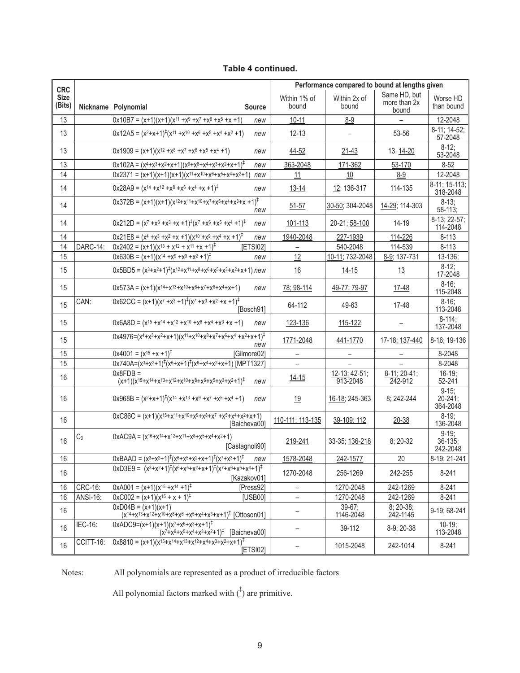| Table 4 continued. |  |  |
|--------------------|--|--|
|--------------------|--|--|

| <b>CRC</b>            |                 |                                                                                                                      | Performance compared to bound at lengths given |                           |                                       |                                     |  |  |
|-----------------------|-----------------|----------------------------------------------------------------------------------------------------------------------|------------------------------------------------|---------------------------|---------------------------------------|-------------------------------------|--|--|
| <b>Size</b><br>(Bits) |                 | Nickname Polynomial<br>Source                                                                                        | Within 1% of<br>bound                          | Within 2x of<br>bound     | Same HD, but<br>more than 2x<br>bound | Worse HD<br>than bound              |  |  |
| 13                    |                 | $0x10B7 = (x+1)(x+1)(x^{11} + x^9 + x^7 + x^6 + x^5 + x + 1)$<br>new                                                 | $10 - 11$                                      | $8 - 9$                   |                                       | 12-2048                             |  |  |
| 13                    |                 | $0x12A5 = (x^2+x+1)^{\frac{1}{4}}(x^{11}+x^{10}+x^6+x^5+x^4+x^2+1)$<br>new                                           | $12 - 13$                                      | $\overline{\phantom{0}}$  | 53-56                                 | 8-11; 14-52;<br>57-2048             |  |  |
| 13                    |                 | $0x1909 = (x+1)(x^{12} + x^8 + x^7 + x^6 + x^5 + x^4 + 1)$<br>new                                                    | 44-52                                          | $21 - 43$                 | 13, 14-20                             | $8-12$ :<br>53-2048                 |  |  |
| 13                    |                 | $0x102A = (x^4 + x^3 + x^2 + x + 1)(x^9 + x^8 + x^4 + x^3 + x^2 + x + 1)^{\frac{1}{4}}$<br>new                       | 363-2048                                       | 171-362                   | 53-170                                | $8 - 52$                            |  |  |
| 14                    |                 | $0x2371 = (x+1)(x+1)(x+1)(x^{11}+x^{10}+x^{6}+x^{5}+x^{4}+x^{2}+1)$<br>new                                           | 11                                             | 10                        | $8 - 9$                               | 12-2048                             |  |  |
| 14                    |                 | $0x28A9 = (x^{14} + x^{12} + x^8 + x^6 + x^4 + x + 1)^{\ddagger}$<br>new                                             | $13 - 14$                                      | 12; 136-317               | 114-135                               | 8-11; 15-113;<br>318-2048           |  |  |
| 14                    |                 | $0x372B = (x+1)(x+1)(x^{12}+x^{11}+x^{10}+x^{7}+x^{5}+x^{4}+x^{3}+x+1)^{\ddagger}$<br>new                            | $51 - 57$                                      | 30-50; 304-2048           | 14-29; 114-303                        | $8-13$<br>$58-113$ ;                |  |  |
| 14                    |                 | $0x212D = (x^7 + x^6 + x^3 + x + 1)^{\frac{1}{4}}(x^7 + x^6 + x^5 + x^4 + 1)^{\frac{1}{4}}$<br>new                   | 101-113                                        | 20-21; 58-100             | 14-19                                 | 8-13; 22-57;<br>114-2048            |  |  |
| 14                    |                 | $0x21E8 = (x^4 + x^3 + x^2 + x + 1)(x^{10} + x^9 + x^4 + x + 1)^{\ddagger}$<br>new                                   | 1940-2048                                      | 227-1939                  | 114-226                               | $8 - 113$                           |  |  |
| 14                    | DARC-14:        | $0x2402 = (x+1)(x^{13} + x^{12} + x^{11} + x + 1)^{\ddagger}$<br>[ETSI02]                                            |                                                | 540-2048                  | 114-539                               | $8 - 113$                           |  |  |
| 15                    |                 | $0x630B = (x+1)(x^{14} + x^9 + x^3 + x^2 + 1)^{\ddagger}$<br>new                                                     | 12                                             | 10-11; 732-2048           | 8-9; 137-731                          | 13-136;                             |  |  |
| 15                    |                 | $0x5BD5 = (x^3+x^2+1)^{\frac{1}{4}}(x^{12}+x^{11}+x^8+x^6+x^5+x^3+x^2+x+1)$ new                                      | 16                                             | $14 - 15$                 | 13                                    | $8-12$ :<br>17-2048                 |  |  |
| 15                    |                 | $0x573A = (x+1)(x^{14}+x^{13}+x^{10}+x^8+x^7+x^6+x^4+x+1)$<br>new                                                    | 78; 98-114                                     | 49-77; 79-97              | $17 - 48$                             | $8-16$<br>115-2048                  |  |  |
| 15                    | CAN:            | $0x62CC = (x+1)(x^7 + x^3 + 1)^{\frac{1}{4}}(x^7 + x^3 + x^2 + x + 1)^{\frac{1}{4}}$<br>[Bosch91]                    | 64-112                                         | 49-63                     | 17-48                                 | $8-16;$<br>113-2048                 |  |  |
| 15                    |                 | $0x6A8D = (x^{15} + x^{14} + x^{12} + x^{10} + x^8 + x^4 + x^3 + x + 1)$<br>new                                      | 123-136                                        | 115-122                   |                                       | $8-114$ :<br>137-2048               |  |  |
| 15                    |                 | $0x4976=(x^{4}+x^{3}+x^{2}+x+1)(x^{11}+x^{10}+x^{8}+x^{7}+x^{6}+x^{4}+x^{2}+x+1)^{1}$<br>new                         | 1771-2048                                      | 441-1770                  | 17-18; 137-440                        | 8-16; 19-136                        |  |  |
| 15                    |                 | $0x4001 = (x^{15} + x + 1)^{\ddagger}$<br>[Gilmore02]                                                                | $\overline{\phantom{0}}$                       | $\overline{\phantom{0}}$  | $\overline{\phantom{m}}$              | 8-2048                              |  |  |
| 15                    |                 | $0x740A=(x^3+x^2+1)^{\frac{1}{4}}(x^6+x+1)^{\frac{1}{4}}(x^6+x^4+x^2+x+1)$ [MPT1327]                                 | $\equiv$                                       |                           |                                       | 8-2048                              |  |  |
| 16                    |                 | $0x8FDB =$<br>$(x+1)(x^{15}+x^{14}+x^{13}+x^{12}+x^{10}+x^{8}+x^{6}+x^{5}+x^{3}+x^{2}+1)^{\ddagger}$<br>new          | $14 - 15$                                      | 12-13; 42-51;<br>913-2048 | 8-11; 20-41;<br>242-912               | $16-19;$<br>52-241                  |  |  |
| 16                    |                 | $0x968B = (x^2+x+1)^{\frac{1}{4}}(x^{14}+x^{13}+x^9+x^7+x^5+x^4+1)$<br>new                                           | 19                                             | 16-18; 245-363            | 8: 242-244                            | $9-15;$<br>20-241;<br>364-2048      |  |  |
| 16                    |                 | $0xC86C = (x+1)(x^{15}+x^{11}+x^{10}+x^9+x^8+x^7+x^{5}+x^4+x^2+x+1)$<br>[Baicheva00]                                 | 110-111; 113-135                               | 39-109; 112               | $20 - 38$                             | $8-19:$<br>136-2048                 |  |  |
| 16                    | $C_3$           | $0xAC9A = (x^{16}+x^{14}+x^{12}+x^{11}+x^{8}+x^{5}+x^{4}+x^{2}+1)$<br>[Castagnoli90]                                 | 219-241                                        | 33-35; 136-218            | 8; 20-32                              | $9-19:$<br>$36 - 135$ :<br>242-2048 |  |  |
| 16                    |                 | $0xBAAD = (x^3+x^2+1)^{\frac{1}{4}}(x^6+x^5+x^2+x+1)^{\frac{1}{4}}(x^7+x^3+1)^{\frac{1}{4}}$<br>new                  | 1578-2048                                      | <u>242-1577</u>           | 20                                    | 8-19; 21-241                        |  |  |
| 16                    |                 | $0xD3E9 = (x^3+x^2+1)^{\frac{1}{4}}(x^6+x^5+x^2+x+1)^{\frac{1}{4}}(x^7+x^6+x^5+x^4+1)^{\frac{1}{4}}$<br>[Kazakov01]  | 1270-2048                                      | 256-1269                  | 242-255                               | $8 - 241$                           |  |  |
| 16                    | CRC-16:         | $0xA001 = (x+1)(x^{15} + x^{14} + 1)^{\ddagger}$<br>[Press92]                                                        |                                                | 1270-2048                 | 242-1269                              | 8-241                               |  |  |
| 16                    | <b>ANSI-16:</b> | $0 \times C002 = (x+1)(x^{15} + x + 1)^{\ddagger}$<br>[USB00]                                                        |                                                | 1270-2048                 | 242-1269                              | 8-241                               |  |  |
| 16                    |                 | $0xD04B = (x+1)(x+1)$<br>$(x^{14}+x^{13}+x^{12}+x^{10}+x^{8}+x^{6}+x^{5}+x^{4}+x^{3}+x+1)^{\ddagger}$ [Ottoson01]    | -                                              | $39-67;$<br>1146-2048     | 8; 20-38;<br>242-1145                 | 9-19; 68-241                        |  |  |
| 16                    | IEC-16:         | $0xADC9=(x+1)(x+1)(x^7+x^6+x^3+x+1)^{\ddagger}$<br>$(x^{7}+x^{6}+x^{5}+x^{4}+x^{3}+x^{2}+1)^{\ddagger}$ [Baicheva00] |                                                | 39-112                    | 8-9; 20-38                            | $10-19;$<br>113-2048                |  |  |
| 16                    | CCITT-16:       | $0x8810 = (x+1)(x^{15}+x^{14}+x^{13}+x^{12}+x^4+x^{3}+x^2+x+1)^{\ddagger}$<br>[ETS102]                               | -                                              | 1015-2048                 | 242-1014                              | 8-241                               |  |  |

Notes: All polynomials are represented as a product of irreducible factors

All polynomial factors marked with  $(\dot{f})$  are primitive.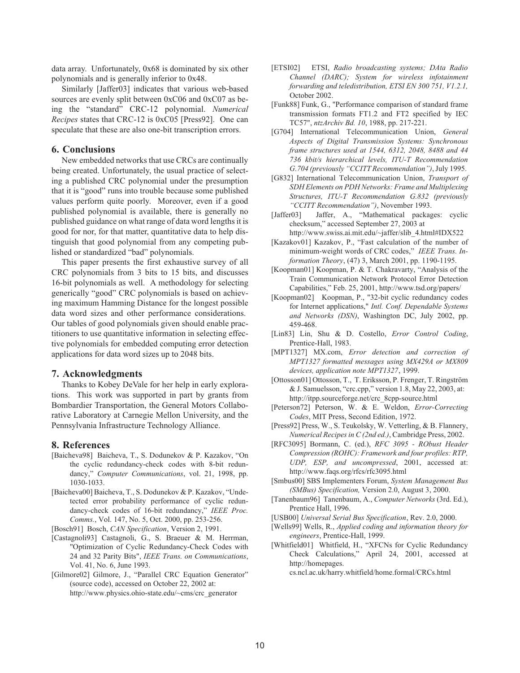data array. Unfortunately, 0x68 is dominated by six other polynomials and is generally inferior to 0x48.

Similarly [Jaffer03] indicates that various web-based sources are evenly split between 0xC06 and 0xC07 as being the "standard" CRC-12 polynomial. *Numerical Recipes* states that CRC-12 is 0xC05 [Press92]. One can speculate that these are also one-bit transcription errors.

#### **6. Conclusions**

New embedded networks that use CRCs are continually being created. Unfortunately, the usual practice of selecting a published CRC polynomial under the presumption that it is "good" runs into trouble because some published values perform quite poorly. Moreover, even if a good published polynomial is available, there is generally no published guidance on what range of data word lengths it is good for nor, for that matter, quantitative data to help distinguish that good polynomial from any competing published or standardized "bad" polynomials.

This paper presents the first exhaustive survey of all CRC polynomials from 3 bits to 15 bits, and discusses 16-bit polynomials as well. A methodology for selecting generically "good" CRC polynomials is based on achieving maximum Hamming Distance for the longest possible data word sizes and other performance considerations. Our tables of good polynomials given should enable practitioners to use quantitative information in selecting effective polynomials for embedded computing error detection applications for data word sizes up to 2048 bits.

#### **7. Acknowledgments**

Thanks to Kobey DeVale for her help in early explorations. This work was supported in part by grants from Bombardier Transportation, the General Motors Collaborative Laboratory at Carnegie Mellon University, and the Pennsylvania Infrastructure Technology Alliance.

#### **8. References**

- [Baicheva98] Baicheva, T., S. Dodunekov & P. Kazakov, "On the cyclic redundancy-check codes with 8-bit redundancy," *Computer Communications*, vol. 21, 1998, pp. 1030-1033.
- [Baicheva00] Baicheva, T., S. Dodunekov & P. Kazakov, "Undetected error probability performance of cyclic redundancy-check codes of 16-bit redundancy," *IEEE Proc. Comms.*, Vol. 147, No. 5, Oct. 2000, pp. 253-256.

[Bosch91] Bosch, *CAN Specification*, Version 2, 1991.

- [Castagnoli93] Castagnoli, G., S. Braeuer & M. Herrman, "Optimization of Cyclic Redundancy-Check Codes with 24 and 32 Parity Bits", *IEEE Trans. on Communications*, Vol. 41, No. 6, June 1993.
- [Gilmore02] Gilmore, J., "Parallel CRC Equation Generator" (source code), accessed on October 22, 2002 at: http://www.physics.ohio-state.edu/~cms/crc\_generator
- [ETSI02] ETSI, *Radio broadcasting systems; DAta Radio Channel (DARC); System for wireless infotainment forwarding and teledistribution, ETSI EN 300 751, V1.2.1,* October 2002.
- [Funk88] Funk, G., "Performance comparison of standard frame transmission formats FT1.2 and FT2 specified by IEC TC57", *ntzArchiv Bd. 10*, 1988, pp. 217-221.
- [G704] International Telecommunication Union, *General Aspects of Digital Transmission Systems: Synchronous frame structures used at 1544, 6312, 2048, 8488 and 44 736 kbit/s hierarchical levels, ITU-T Recommendation G.704 (previously "CCITT Recommendation")*, July 1995.
- [G832] International Telecommunication Union, *Transport of SDH Elements on PDH Networks: Frame and Multiplexing Structures, ITU-T Recommendation G.832 (previously "CCITT Recommendation")*, November 1993.
- [Jaffer03] Jaffer, A., "Mathematical packages: cyclic checksum," accessed September 27, 2003 at http://www.swiss.ai.mit.edu/~jaffer/slib\_4.html#IDX522
- [Kazakov01] Kazakov, P., "Fast calculation of the number of minimum-weight words of CRC codes," *IEEE Trans. Information Theory*, (47) 3, March 2001, pp. 1190-1195.
- [Koopman01] Koopman, P. & T. Chakravarty, "Analysis of the Train Communication Network Protocol Error Detection Capabilities," Feb. 25, 2001, http://www.tsd.org/papers/
- [Koopman02] Koopman, P., "32-bit cyclic redundancy codes for Internet applications," *Intl. Conf. Dependable Systems and Networks (DSN)*, Washington DC, July 2002, pp. 459-468.
- [Lin83] Lin, Shu & D. Costello, *Error Control Coding*, Prentice-Hall, 1983.
- [MPT1327] MX.com, *Error detection and correction of MPT1327 formatted messages using MX429A or MX809 devices, application note MPT1327*, 1999.
- [Ottosson01] Ottosson, T., T. Eriksson, P. Frenger, T. Ringström & J. Samuelsson, "crc.cpp," version 1.8, May 22, 2003, at: http://itpp.sourceforge.net/crc\_8cpp-source.html
- [Peterson72] Peterson, W. & E. Weldon, *Error-Correcting Codes*, MIT Press, Second Edition, 1972.
- [Press92] Press, W., S. Teukolsky, W. Vetterling, & B. Flannery, *Numerical Recipes in C (2nd ed.)*, Cambridge Press, 2002.
- [RFC3095] Bormann, C. (ed.), *RFC 3095 RObust Header Compression (ROHC): Framework and four profiles: RTP, UDP, ESP, and uncompressed*, 2001, accessed at: http://www.faqs.org/rfcs/rfc3095.html
- [Smbus00] SBS Implementers Forum, *System Management Bus (SMBus) Specification,* Version 2.0, August 3, 2000.
- [Tanenbaum96] Tanenbaum, A., *Computer Networks* (3rd. Ed.), Prentice Hall, 1996.
- [USB00] *Universal Serial Bus Specification*, Rev. 2.0, 2000.
- [Wells99] Wells, R., *Applied coding and information theory for engineers*, Prentice-Hall, 1999.
- [Whitfield01] Whitfield, H., "XFCNs for Cyclic Redundancy Check Calculations," April 24, 2001, accessed at http://homepages.

cs.ncl.ac.uk/harry.whitfield/home.formal/CRCs.html